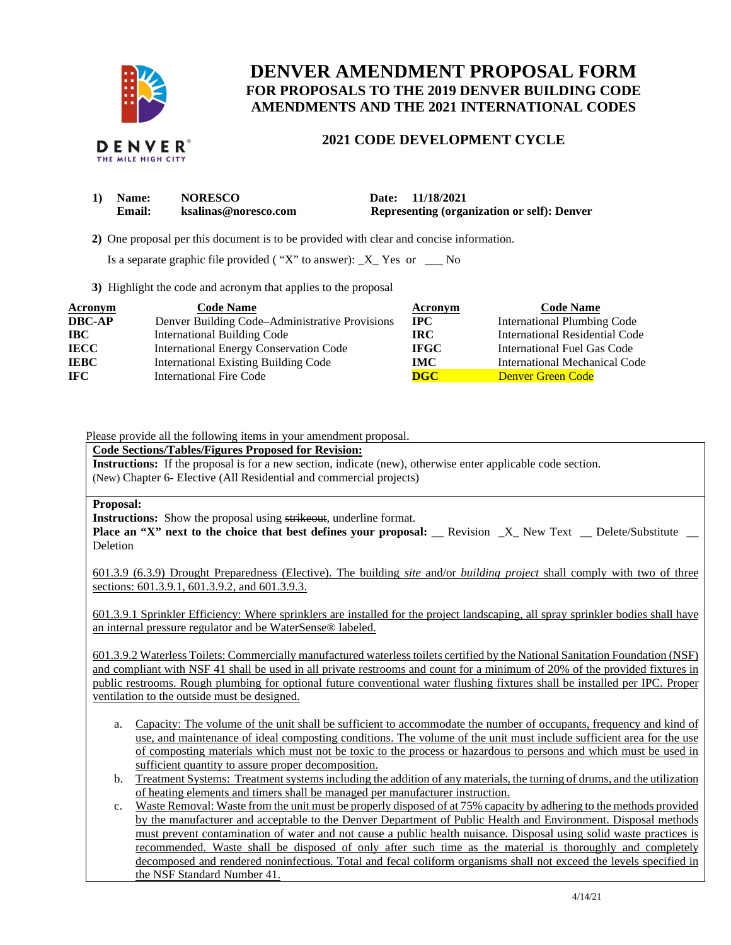

# **DENVER AMENDMENT PROPOSAL FORM FOR PROPOSALS TO THE 2019 DENVER BUILDING CODE AMENDMENTS AND THE 2021 INTERNATIONAL CODES**

## **2021 CODE DEVELOPMENT CYCLE**

| 1) | <b>Name:</b> | <b>NORESCO</b>       | Date: 11/18/2021                                   |
|----|--------------|----------------------|----------------------------------------------------|
|    | Email:       | ksalinas@noresco.com | <b>Representing (organization or self): Denver</b> |

 **2)** One proposal per this document is to be provided with clear and concise information.

Is a separate graphic file provided ("X" to answer):  $_X_$  Yes or  $_$ 

**3)** Highlight the code and acronym that applies to the proposal

| Acronym       | <b>Code Name</b>                               | Acronym                 | <b>Code Name</b>                   |
|---------------|------------------------------------------------|-------------------------|------------------------------------|
| <b>DBC-AP</b> | Denver Building Code–Administrative Provisions | $\bf IPC$               | <b>International Plumbing Code</b> |
| <b>IBC</b>    | <b>International Building Code</b>             | IRC-                    | International Residential Code     |
| <b>IECC</b>   | <b>International Energy Conservation Code</b>  | <b>IFGC</b>             | International Fuel Gas Code        |
| <b>IEBC</b>   | <b>International Existing Building Code</b>    | IMC .                   | International Mechanical Code      |
| <b>IFC</b>    | <b>International Fire Code</b>                 | $\overline{\text{DGC}}$ | Denver Green Code                  |

#### Please provide all the following items in your amendment proposal.

**Code Sections/Tables/Figures Proposed for Revision:** 

**Instructions:** If the proposal is for a new section, indicate (new), otherwise enter applicable code section. (New) Chapter 6- Elective (All Residential and commercial projects)

#### **Proposal:**

**Instructions:** Show the proposal using strikeout, underline format.

**Place an "X" next to the choice that best defines your proposal:** \_\_ Revision \_X\_ New Text \_\_ Delete/Substitute \_ Deletion

601.3.9 (6.3.9) Drought Preparedness (Elective). The building *site* and/or *building project* shall comply with two of three sections: 601.3.9.1, 601.3.9.2, and 601.3.9.3.

601.3.9.1 Sprinkler Efficiency: Where sprinklers are installed for the project landscaping, all spray sprinkler bodies shall have an internal pressure regulator and be WaterSense® labeled.

601.3.9.2 Waterless Toilets: Commercially manufactured waterless toilets certified by the National Sanitation Foundation (NSF) and compliant with NSF 41 shall be used in all private restrooms and count for a minimum of 20% of the provided fixtures in public restrooms. Rough plumbing for optional future conventional water flushing fixtures shall be installed per IPC. Proper ventilation to the outside must be designed.

- a. Capacity: The volume of the unit shall be sufficient to accommodate the number of occupants, frequency and kind of use, and maintenance of ideal composting conditions. The volume of the unit must include sufficient area for the use of composting materials which must not be toxic to the process or hazardous to persons and which must be used in sufficient quantity to assure proper decomposition.
- b. Treatment Systems: Treatment systems including the addition of any materials, the turning of drums, and the utilization of heating elements and timers shall be managed per manufacturer instruction.
- c. Waste Removal: Waste from the unit must be properly disposed of at 75% capacity by adhering to the methods provided by the manufacturer and acceptable to the Denver Department of Public Health and Environment. Disposal methods must prevent contamination of water and not cause a public health nuisance. Disposal using solid waste practices is recommended. Waste shall be disposed of only after such time as the material is thoroughly and completely decomposed and rendered noninfectious. Total and fecal coliform organisms shall not exceed the levels specified in the NSF Standard Number 41.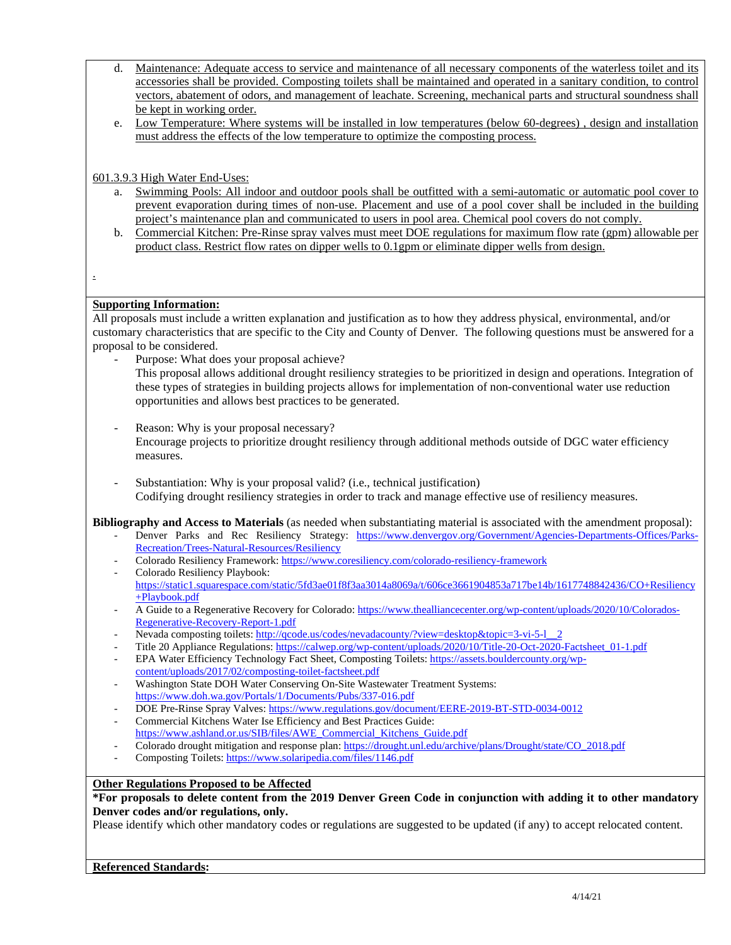- d. Maintenance: Adequate access to service and maintenance of all necessary components of the waterless toilet and its accessories shall be provided. Composting toilets shall be maintained and operated in a sanitary condition, to control vectors, abatement of odors, and management of leachate. Screening, mechanical parts and structural soundness shall be kept in working order.
- e. Low Temperature: Where systems will be installed in low temperatures (below 60-degrees) , design and installation must address the effects of the low temperature to optimize the composting process.

## 601.3.9.3 High Water End-Uses:

- a. Swimming Pools: All indoor and outdoor pools shall be outfitted with a semi-automatic or automatic pool cover to prevent evaporation during times of non-use. Placement and use of a pool cover shall be included in the building project's maintenance plan and communicated to users in pool area. Chemical pool covers do not comply.
- b. Commercial Kitchen: Pre-Rinse spray valves must meet DOE regulations for maximum flow rate (gpm) allowable per product class. Restrict flow rates on dipper wells to 0.1gpm or eliminate dipper wells from design.
- .

## **Supporting Information:**

All proposals must include a written explanation and justification as to how they address physical, environmental, and/or customary characteristics that are specific to the City and County of Denver. The following questions must be answered for a proposal to be considered.

- Purpose: What does your proposal achieve?
	- This proposal allows additional drought resiliency strategies to be prioritized in design and operations. Integration of these types of strategies in building projects allows for implementation of non-conventional water use reduction opportunities and allows best practices to be generated.
- Reason: Why is your proposal necessary? Encourage projects to prioritize drought resiliency through additional methods outside of DGC water efficiency measures.
- Substantiation: Why is your proposal valid? (i.e., technical justification) Codifying drought resiliency strategies in order to track and manage effective use of resiliency measures.

**Bibliography and Access to Materials** (as needed when substantiating material is associated with the amendment proposal):

- Denver Parks and Rec Resiliency Strategy: [https://www.denvergov.org/Government/Agencies-Departments-Offices/Parks-](https://www.denvergov.org/Government/Agencies-Departments-Offices/Parks-Recreation/Trees-Natural-Resources/Resiliency)[Recreation/Trees-Natural-Resources/Resiliency](https://www.denvergov.org/Government/Agencies-Departments-Offices/Parks-Recreation/Trees-Natural-Resources/Resiliency)
- Colorado Resiliency Framework:<https://www.coresiliency.com/colorado-resiliency-framework>
- Colorado Resiliency Playbook: [https://static1.squarespace.com/static/5fd3ae01f8f3aa3014a8069a/t/606ce3661904853a717be14b/1617748842436/CO+Resiliency](https://static1.squarespace.com/static/5fd3ae01f8f3aa3014a8069a/t/606ce3661904853a717be14b/1617748842436/CO+Resiliency+Playbook.pdf) [+Playbook.pdf](https://static1.squarespace.com/static/5fd3ae01f8f3aa3014a8069a/t/606ce3661904853a717be14b/1617748842436/CO+Resiliency+Playbook.pdf)
- A Guide to a Regenerative Recovery for Colorado[: https://www.thealliancecenter.org/wp-content/uploads/2020/10/Colorados-](https://www.thealliancecenter.org/wp-content/uploads/2020/10/Colorados-Regenerative-Recovery-Report-1.pdf)[Regenerative-Recovery-Report-1.pdf](https://www.thealliancecenter.org/wp-content/uploads/2020/10/Colorados-Regenerative-Recovery-Report-1.pdf)
- Nevada composting toilets[: http://qcode.us/codes/nevadacounty/?view=desktop&topic=3-vi-5-l\\_\\_2](http://qcode.us/codes/nevadacounty/?view=desktop&topic=3-vi-5-l__2)
- Title 20 Appliance Regulations: [https://calwep.org/wp-content/uploads/2020/10/Title-20-Oct-2020-Factsheet\\_01-1.pdf](https://calwep.org/wp-content/uploads/2020/10/Title-20-Oct-2020-Factsheet_01-1.pdf)
- EPA Water Efficiency Technology Fact Sheet, Composting Toilets[: https://assets.bouldercounty.org/wp](https://assets.bouldercounty.org/wp-content/uploads/2017/02/composting-toilet-factsheet.pdf)[content/uploads/2017/02/composting-toilet-factsheet.pdf](https://assets.bouldercounty.org/wp-content/uploads/2017/02/composting-toilet-factsheet.pdf)
- Washington State DOH Water Conserving On-Site Wastewater Treatment Systems: <https://www.doh.wa.gov/Portals/1/Documents/Pubs/337-016.pdf>
- DOE Pre-Rinse Spray Valves:<https://www.regulations.gov/document/EERE-2019-BT-STD-0034-0012>
- Commercial Kitchens Water Ise Efficiency and Best Practices Guide: [https://www.ashland.or.us/SIB/files/AWE\\_Commercial\\_Kitchens\\_Guide.pdf](https://www.ashland.or.us/SIB/files/AWE_Commercial_Kitchens_Guide.pdf)
- Colorado drought mitigation and response plan: https://drought.unl.edu/archive/plans/Drought/state/CO\_2018.pdf
- Composting Toilets: https://www.solaripedia.com/files/1146.pdf

#### **Other Regulations Proposed to be Affected**

**\*For proposals to delete content from the 2019 Denver Green Code in conjunction with adding it to other mandatory Denver codes and/or regulations, only.**

Please identify which other mandatory codes or regulations are suggested to be updated (if any) to accept relocated content.

#### **Referenced Standards:**